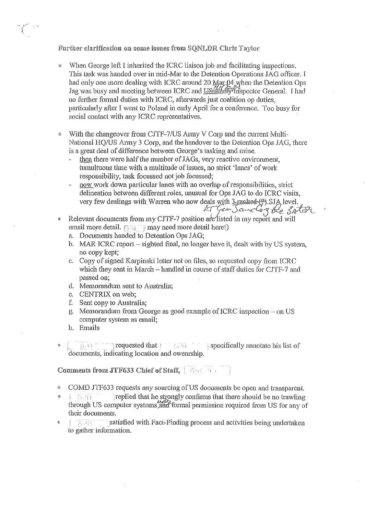Further clarification on some issues from SQNLDR Chris Taylor

- When George left I inherited the ICRC liaison job and facilitating inspections. This task was handed over in mid-Mar to the Detention Operations JAG officer. I had only one more dealing with ICRC around 20 Mar 04 when the Detention Ops Jag was busy and meeting between ICRC and US 46 Mnspector General. I had no further formal duties with ICRC, afterwards just coalition op duties, particularly after I went to Poland in early April for a conference. Too busy for social contact with any ICRC representatives.
- With the changeover from CJTF-7/US Army V Corp and the current Multi-National HQ/US Army 3 Corp, and the handover to the Detention Ops JAG, there is a great deal of difference between George's tasking and mine.
	- then there were half the number of JAGs, very reactive environment, tumultuous time with a multitude of issues, no strict 'lanes' of work responsibility, task focussed not job focussed;
	- now work down particular lanes with no overlap of responsibilities, strict delineation between different roles, unusual for Ops JAG to do ICRC visits, very few dealings with Warren who now deals with 3 ranked (9). SJA level.<br>*LT Gen Sangle 3 the 3 aller*
- Relevant documents from my CJTF-7 position are listed in my report and will ¢ **email more detail.**  $\{ \cdot \cdot \cdot \}$  may need more detail here!)
	- a. Documents handed to Detention Ops JAG;
	- b. MAR ICRC report sighted final, no longer have it, dealt with by US system, no copy kept;
	- c. Copy of signed Karpinski letter not on files, so requested copy from ICRC which they sent in March – handled in course of staff duties for CJTF-7 and passed on;
	- d. Memorandum sent to Australia;
	- c. CENTRIX on web;
	- f. Sent copy to Australia;
	- g. Memorandum from George as good example of ICRC inspection on US computer system as email;
	- h. Emails
- **EXALCORD THE START REQUESTED THAT A REPORT OF START REPORT OF START START START START START START START START START START START START START START START START START START START START START START START START START START STA** documents, indicating location and owenrship.

Comments from JTF633 Chief of Staff, [ See [4]

- <sup>o</sup> COMD JTF633 requests any sourcing of US documents be open and transparent.
- $\bullet$  :  $\sim$  :  $\sim$  is  $\sim$  in  $\sim$  in  $\sim$  in  $\sim$  in  $\sim$  in  $\sim$  in  $\sim$  in  $\sim$  in  $\sim$  in  $\sim$  in  $\sim$  in  $\sim$  in  $\sim$  in  $\sim$  in  $\sim$  in  $\sim$  in  $\sim$  in  $\sim$  in  $\sim$  in  $\sim$  in  $\sim$  in  $\sim$  in  $\sim$  in  $\sim$  in  $\sim$  in through US computer systems, and formal permission required from US for any of their documents.
- $\bullet$  ( $\bullet$ ,  $\bullet$ ) satisfied with Fact-Finding process and activities being undertaken to gather information.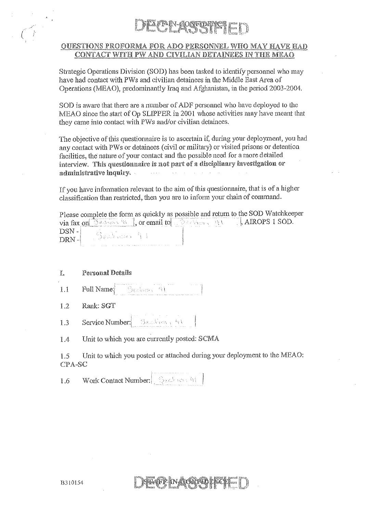### TAN-GOSFORDET ET

### **OUESTIONS PROFORMA FOR ADO PERSONNEL WHO MAY HAVE HAD** CONTACT WITH PW AND CIVILIAN DETAINEES IN THE MEAO

Strategic Operations Division (SOD) has been tasked to identify personnel who may have had contact with PWs and civilian detainees in the Middle East Area of Operations (MEAO), predominantly Iraq and Afghanistan, in the period 2003-2004.

SOD is aware that there are a number of ADF personnel who have deployed to the MEAO since the start of Op SLIPPER in 2001 whose activities may have meant that they came into contact with PWs and/or civilian detainees.

The objective of this questionnaire is to ascertain if, during your deployment, you had any contact with PWs or detainees (civil or military) or visited prisons or detention facilities, the nature of your contact and the possible need for a more detailed interview. This questionnaire is not part of a disciplinary investigation or administrative inquiry.  $\bar{1}$  ,  $\bar{1}$  ,  $\bar{1}$ 

If you have information relevant to the aim of this questionnaire, that is of a higher classification than restricted, then you are to inform your chain of command.

Please complete the form as quickly as possible and return to the SOD Watchkeeper via fax on  $\mathbb{R}^n$ , or email to  $\mathbb{R}^n$  and  $\mathbb{R}^n$ . AIROPS 1 SOD.  $DSN -$ Sealiser 41  $DRN -$ 

### Ĭ. **Personal Details**

- **Full Name:** Section 44  $1.1$
- Rank: SGT  $1.2$
- Service Number: Seathern Art 1.3

Unit to which you are currently posted: SCMA 1.4

Unit to which you posted or attached during your deployment to the MEAO: 1.5 CPA-SC

yff yn Angantad

Work Contact Number: 30 1.6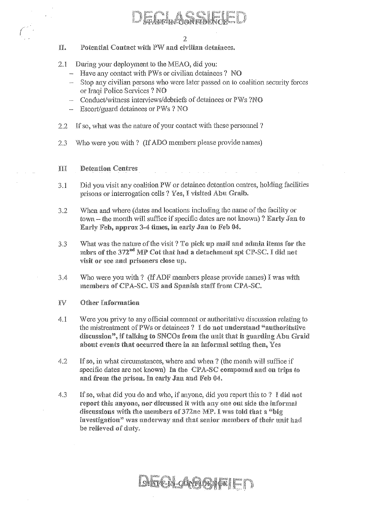- II. Potential Contact with PW and civilian detainees.
- $2.1$ During your deployment to the MEAO, did you:
	- $-$  Have any contact with PWs or civilian detainees ? NO
	- Stop any civilian persons who were later passed on to coalition security forces or Iraqi Police Services ? NO
	- Conduct/witness interviews/debriefs of detainees or PWs ?NO
	- $-$  Escort/guard detainees or PWs ? NO
- If so, what was the nature of your contact with these personnel ?  $2.2$
- $2.3$ Who were you with? (If ADO members please provide names)
- III **Detention Centres**
- Did you visit any coalition PW or detainee detention centres, holding facilities  $3.1$ prisons or interrogation cells ? Yes, I visited Abu Graib.
- When and where (dates and locations including the name of the facility or  $3.2$ town – the month will suffice if specific dates are not known)? Early Jan to Early Feb, approx 3-4 times, in early Jan to Feb 04.
- What was the nature of the visit? To pick up mail and admin items for the  $3.3$ mbrs of the 372<sup>nd</sup> MP Cot that had a detachment spt CP-SC. I did not visit or see and prisoners close up.
- $3.4$ Who were you with? (If ADF members please provide names) I was with members of CPA-SC. US and Spanish staff from CPA-SC.
- IV Other Information
- Were you privy to any official comment or authoritative discussion relating to  $4.1$ the mistreatment of PWs or detainees? I do not understand "authoritative discussion", if talking to SNCOs from the unit that is guarding Abu Graid about events that occurred there in an informal setting then, Yes
- $4.2$ If so, in what circumstances, where and when ? (the month will suffice if specific dates are not known) In the CPA-SC compound and on trips to and from the prison. In early Jan and Feb 04.
- $4.3$ If so, what did you do and who, if anyone, did you report this to ? I did not report this anyone, nor discussed it with any one out side the informal discussions with the members of 372ne MP. I was told that a "big investigation" was underway and that senior members of their unit had be relieved of duty.

## **GARTEN-ONGLOBIE!**